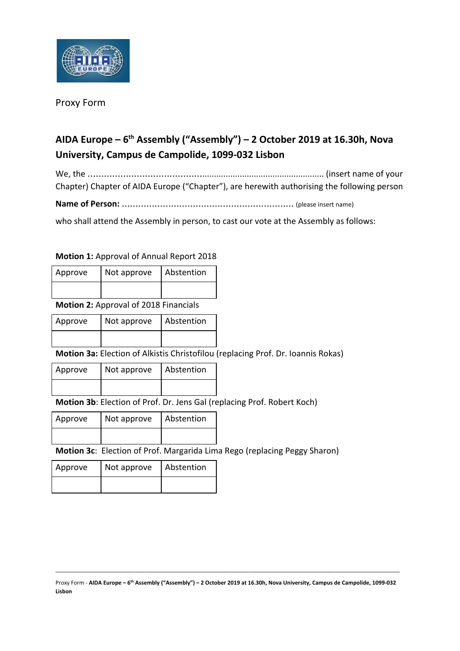

## Proxy Form

## **AIDA Europe – 6 th Assembly ("Assembly") – 2 October 2019 at 16.30h, Nova University, Campus de Campolide, 1099-032 Lisbon**

We, the …………………………………….................................................... (insert name of your Chapter) Chapter of AIDA Europe ("Chapter"), are herewith authorising the following person

**Name of Person:** ……………………………………………………… (please insert name)

who shall attend the Assembly in person, to cast our vote at the Assembly as follows:

## **Motion 1:** Approval of Annual Report 2018

| Approve | Not approve | Abstention |
|---------|-------------|------------|
|         |             |            |

**Motion 2:** Approval of 2018 Financials

| Approve | I Not approve | Abstention |
|---------|---------------|------------|
|         |               |            |

**Motion 3a:** Election of Alkistis Christofilou (replacing Prof. Dr. Ioannis Rokas)

| Approve | Not approve | Abstention |
|---------|-------------|------------|
|         |             |            |

**Motion 3b**: Election of Prof. Dr. Jens Gal (replacing Prof. Robert Koch)

| Approve | Not approve | Abstention |
|---------|-------------|------------|
|         |             |            |

**Motion 3c**: Election of Prof. Margarida Lima Rego (replacing Peggy Sharon)

| Approve | Not approve | Abstention |
|---------|-------------|------------|
|         |             |            |

Proxy Form - AIDA Europe – 6<sup>th</sup> Assembly ("Assembly") – 2 October 2019 at 16.30h, Nova University, Campus de Campolide, 1099-032 **Lisbon**

\_\_\_\_\_\_\_\_\_\_\_\_\_\_\_\_\_\_\_\_\_\_\_\_\_\_\_\_\_\_\_\_\_\_\_\_\_\_\_\_\_\_\_\_\_\_\_\_\_\_\_\_\_\_\_\_\_\_\_\_\_\_\_\_\_\_\_\_\_\_\_\_\_\_\_\_\_\_\_\_\_\_\_\_\_\_\_\_\_\_\_\_\_\_\_\_\_\_\_\_\_\_\_\_\_\_\_\_\_\_\_\_